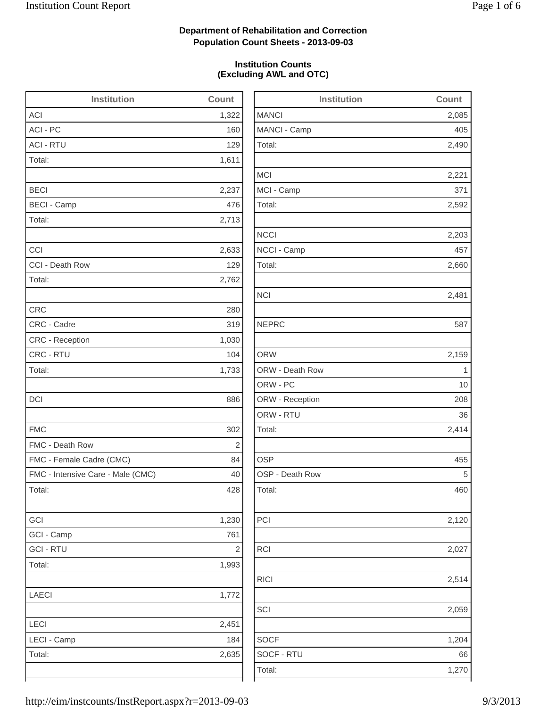2,085

2,490

2,221

2,592

2,203

2,660

2,159

2,414

2,514

2,059

1,204

## **Department of Rehabilitation and Correction Population Count Sheets - 2013-09-03**

### **Institution Counts (Excluding AWL and OTC)**

| <b>Institution</b>                | Count          | <b>Institution</b> | Count        |
|-----------------------------------|----------------|--------------------|--------------|
| <b>ACI</b>                        | 1,322          | <b>MANCI</b>       | 2,085        |
| ACI - PC                          | 160            | MANCI - Camp       | 405          |
| <b>ACI - RTU</b>                  | 129            | Total:             | 2,490        |
| Total:                            | 1,611          |                    |              |
|                                   |                | <b>MCI</b>         | 2,221        |
| <b>BECI</b>                       | 2,237          | MCI - Camp         | 371          |
| <b>BECI - Camp</b>                | 476            | Total:             | 2,592        |
| Total:                            | 2,713          |                    |              |
|                                   |                | <b>NCCI</b>        | 2,203        |
| CCI                               | 2,633          | NCCI - Camp        | 457          |
| CCI - Death Row                   | 129            | Total:             | 2,660        |
| Total:                            | 2,762          |                    |              |
|                                   |                | <b>NCI</b>         | 2,481        |
| <b>CRC</b>                        | 280            |                    |              |
| CRC - Cadre                       | 319            | <b>NEPRC</b>       | 587          |
| CRC - Reception                   | 1,030          |                    |              |
| CRC - RTU                         | 104            | <b>ORW</b>         | 2,159        |
| Total:                            | 1,733          | ORW - Death Row    | $\mathbf{1}$ |
|                                   |                | ORW - PC           | 10           |
| DCI                               | 886            | ORW - Reception    | 208          |
|                                   |                | ORW - RTU          | 36           |
| <b>FMC</b>                        | 302            | Total:             | 2,414        |
| FMC - Death Row                   | $\overline{2}$ |                    |              |
| FMC - Female Cadre (CMC)          | 84             | <b>OSP</b>         | 455          |
| FMC - Intensive Care - Male (CMC) | 40             | OSP - Death Row    | 5            |
| Total:                            | 428            | Total:             | 460          |
| GCI                               | 1,230          | PCI                | 2,120        |
| GCI - Camp                        | 761            |                    |              |
| <b>GCI - RTU</b>                  | $\sqrt{2}$     | <b>RCI</b>         | 2,027        |
| Total:                            | 1,993          |                    |              |
|                                   |                | <b>RICI</b>        | 2,514        |
| LAECI                             | 1,772          |                    |              |
|                                   |                | SCI                | 2,059        |
| LECI                              | 2,451          |                    |              |
| LECI - Camp                       | 184            | <b>SOCF</b>        | 1,204        |
| Total:                            | 2,635          | SOCF - RTU         | 66           |
|                                   |                | Total:             | 1,270        |
|                                   |                |                    |              |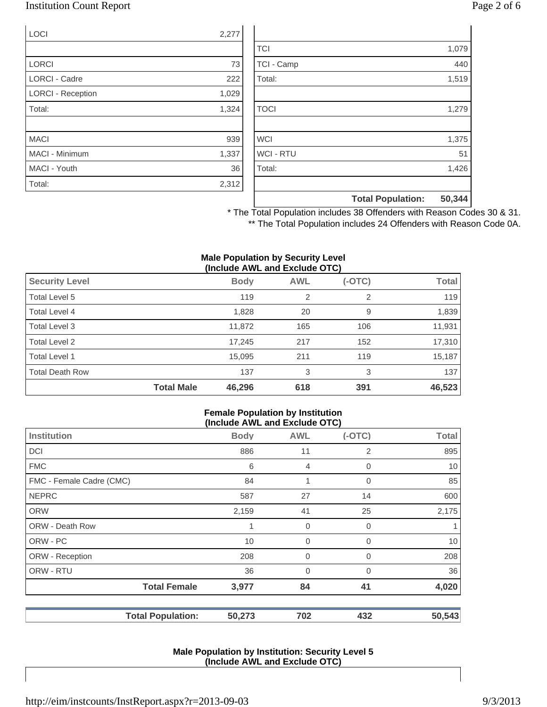## Institution Count Report Page 2 of 6

| <b>LOCI</b>              | 2,277 |
|--------------------------|-------|
|                          |       |
| <b>LORCI</b>             | 73    |
| <b>LORCI - Cadre</b>     | 222   |
| <b>LORCI - Reception</b> | 1,029 |
| Total:                   | 1,324 |
|                          |       |
| <b>MACI</b>              | 939   |
| <b>MACI - Minimum</b>    | 1,337 |
| MACI - Youth             | 36    |
| Total:                   | 2,312 |

|                  | <b>Total Population:</b> | 50,344 |
|------------------|--------------------------|--------|
|                  |                          |        |
| Total:           |                          | 1,426  |
| <b>WCI - RTU</b> |                          | 51     |
| <b>WCI</b>       |                          | 1,375  |
|                  |                          |        |
| <b>TOCI</b>      |                          | 1,279  |
|                  |                          |        |
| Total:           |                          | 1,519  |
| TCI - Camp       |                          | 440    |
| <b>TCI</b>       |                          | 1,079  |

\* The Total Population includes 38 Offenders with Reason Codes 30 & 31. \*\* The Total Population includes 24 Offenders with Reason Code 0A.

#### **Male Population by Security Level (Include AWL and Exclude OTC)**

| <b>Security Level</b>  |                   | <b>Body</b> | <b>AWL</b>     | $(-OTC)$ | Total  |
|------------------------|-------------------|-------------|----------------|----------|--------|
| Total Level 5          |                   | 119         | $\overline{2}$ | 2        | 119    |
| Total Level 4          |                   | 1,828       | 20             | 9        | 1,839  |
| Total Level 3          |                   | 11,872      | 165            | 106      | 11,931 |
| Total Level 2          |                   | 17,245      | 217            | 152      | 17,310 |
| Total Level 1          |                   | 15,095      | 211            | 119      | 15,187 |
| <b>Total Death Row</b> |                   | 137         | 3              | 3        | 137    |
|                        | <b>Total Male</b> | 46,296      | 618            | 391      | 46,523 |

#### **Female Population by Institution (Include AWL and Exclude OTC)**

|                          | $(1101000)$ and the thousand $(0.0000)$ |                |          |              |
|--------------------------|-----------------------------------------|----------------|----------|--------------|
| Institution              | <b>Body</b>                             | <b>AWL</b>     | $(-OTC)$ | <b>Total</b> |
| <b>DCI</b>               | 886                                     | 11             | 2        | 895          |
| <b>FMC</b>               | 6                                       | $\overline{4}$ | 0        | 10           |
| FMC - Female Cadre (CMC) | 84                                      | 1              | 0        | 85           |
| <b>NEPRC</b>             | 587                                     | 27             | 14       | 600          |
| <b>ORW</b>               | 2,159                                   | 41             | 25       | 2,175        |
| <b>ORW - Death Row</b>   | 1                                       | 0              | 0        | 1            |
| ORW - PC                 | 10                                      | $\mathbf 0$    | 0        | 10           |
| ORW - Reception          | 208                                     | $\mathbf 0$    | 0        | 208          |
| ORW - RTU                | 36                                      | $\overline{0}$ | $\Omega$ | 36           |
| <b>Total Female</b>      | 3,977                                   | 84             | 41       | 4,020        |
| <b>Total Population:</b> | 50,273                                  | 702            | 432      | 50,543       |

#### **Male Population by Institution: Security Level 5 (Include AWL and Exclude OTC)**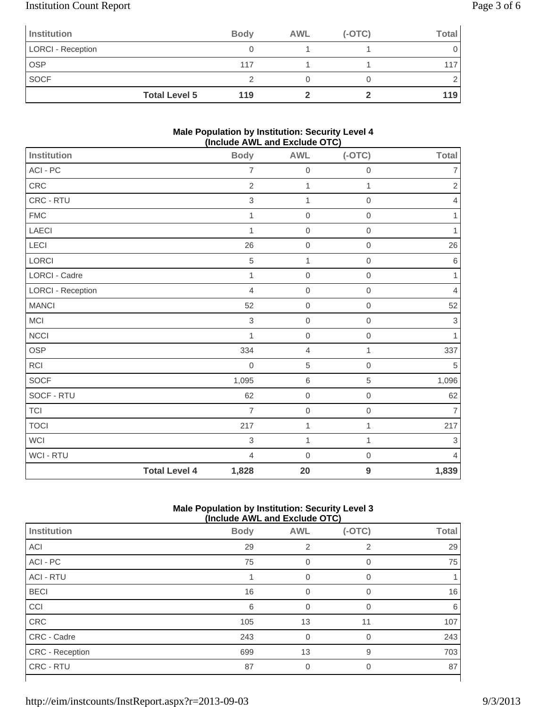# Institution Count Report Page 3 of 6

| Institution              |                      | <b>Body</b> | <b>AWL</b> | $(-OTC)$ | Total |
|--------------------------|----------------------|-------------|------------|----------|-------|
| <b>LORCI - Reception</b> |                      |             |            |          |       |
| <b>OSP</b>               |                      | 117         |            |          |       |
| <b>SOCF</b>              |                      |             |            |          |       |
|                          | <b>Total Level 5</b> | 119         |            |          | 119   |

### **Male Population by Institution: Security Level 4 (Include AWL and Exclude OTC)**

| Institution              |                      | , , , , , <b>, , , , , ,</b> , |                |                     |                           |
|--------------------------|----------------------|--------------------------------|----------------|---------------------|---------------------------|
|                          |                      | <b>Body</b>                    | <b>AWL</b>     | $(-OTC)$            | <b>Total</b>              |
| ACI - PC                 |                      | $\overline{7}$                 | $\mathbf 0$    | $\mathbf 0$         | $\overline{7}$            |
| ${\sf CRC}$              |                      | $\overline{2}$                 | 1              | 1                   | $\overline{c}$            |
| CRC - RTU                |                      | $\,$ 3 $\,$                    | $\mathbf{1}$   | $\mathbf 0$         | $\overline{4}$            |
| <b>FMC</b>               |                      | $\mathbf{1}$                   | $\mbox{O}$     | $\mathbf 0$         | $\mathbf{1}$              |
| LAECI                    |                      | 1                              | $\mathbf 0$    | $\mathbf 0$         | 1                         |
| LECI                     |                      | 26                             | $\mathbf 0$    | $\mathbf 0$         | 26                        |
| LORCI                    |                      | 5                              | $\mathbf{1}$   | $\mathbf 0$         | $\,6\,$                   |
| LORCI - Cadre            |                      | 1                              | $\mathbf 0$    | $\mathbf 0$         | 1                         |
| <b>LORCI - Reception</b> |                      | $\overline{4}$                 | $\mbox{O}$     | $\mathsf{O}\xspace$ | $\overline{4}$            |
| <b>MANCI</b>             |                      | 52                             | $\mathbf 0$    | $\mathbf 0$         | 52                        |
| MCI                      |                      | $\,$ 3 $\,$                    | $\mathbf 0$    | $\mathbf 0$         | $\ensuremath{\mathsf{3}}$ |
| <b>NCCI</b>              |                      | $\mathbf{1}$                   | $\mathbf 0$    | $\mathbf 0$         | 1                         |
| OSP                      |                      | 334                            | $\overline{4}$ | 1                   | 337                       |
| RCI                      |                      | $\mathbf 0$                    | $\sqrt{5}$     | $\mathbf 0$         | $\,$ 5 $\,$               |
| SOCF                     |                      | 1,095                          | $\,6\,$        | $\,$ 5 $\,$         | 1,096                     |
| SOCF - RTU               |                      | 62                             | $\mathbf 0$    | $\mathbf 0$         | 62                        |
| TCI                      |                      | $\overline{7}$                 | $\mbox{O}$     | $\mathbf 0$         | $\overline{7}$            |
| <b>TOCI</b>              |                      | 217                            | $\mathbf 1$    | 1                   | 217                       |
| WCI                      |                      | $\,$ 3 $\,$                    | $\mathbf{1}$   | 1                   | 3                         |
| WCI - RTU                |                      | $\overline{4}$                 | $\mathbf 0$    | $\mathbf 0$         | $\overline{4}$            |
|                          | <b>Total Level 4</b> | 1,828                          | 20             | 9                   | 1,839                     |

### **Male Population by Institution: Security Level 3 (Include AWL and Exclude OTC)**

|                        |             | (INClUDE AVE AND EXCIUDE UT U) |          |              |  |  |
|------------------------|-------------|--------------------------------|----------|--------------|--|--|
| Institution            | <b>Body</b> | <b>AWL</b>                     | $(-OTC)$ | <b>Total</b> |  |  |
| <b>ACI</b>             | 29          | 2                              | 2        | 29           |  |  |
| ACI - PC               | 75          | 0                              | 0        | 75           |  |  |
| <b>ACI - RTU</b>       |             | $\Omega$                       | 0        |              |  |  |
| <b>BECI</b>            | 16          |                                | $\Omega$ | 16           |  |  |
| CCI                    | 6           | 0                              | $\Omega$ | 6            |  |  |
| CRC                    | 105         | 13                             | 11       | 107          |  |  |
| CRC - Cadre            | 243         | $\overline{0}$                 | $\Omega$ | 243          |  |  |
| <b>CRC</b> - Reception | 699         | 13                             | 9        | 703          |  |  |
| CRC - RTU              | 87          | 0                              | 0        | 87           |  |  |
|                        |             |                                |          |              |  |  |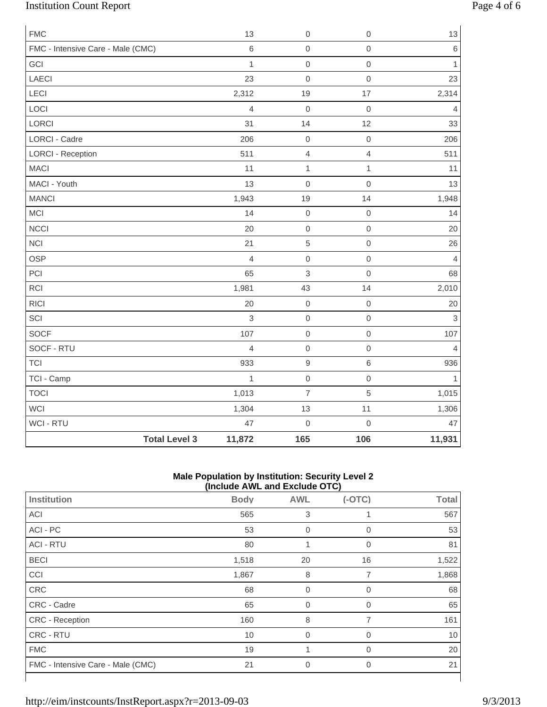# Institution Count Report Page 4 of 6

| <b>FMC</b>                        |                      | 13             | $\mathbf 0$      | $\mathsf{O}\xspace$ | 13             |
|-----------------------------------|----------------------|----------------|------------------|---------------------|----------------|
| FMC - Intensive Care - Male (CMC) |                      | $\,6\,$        | $\mathbf 0$      | $\mathsf{O}\xspace$ | $\,6$          |
| GCI                               |                      | $\mathbf{1}$   | $\mathbf 0$      | $\mathsf{O}\xspace$ | $\mathbf{1}$   |
| LAECI                             |                      | 23             | $\mathbf 0$      | $\mathsf{O}\xspace$ | 23             |
| LECI                              |                      | 2,312          | 19               | 17                  | 2,314          |
| LOCI                              |                      | $\overline{4}$ | $\mathbf 0$      | $\mathsf{O}\xspace$ | $\overline{4}$ |
| LORCI                             |                      | 31             | 14               | 12                  | 33             |
| <b>LORCI - Cadre</b>              |                      | 206            | $\mbox{O}$       | $\mathbf 0$         | 206            |
| <b>LORCI - Reception</b>          |                      | 511            | $\overline{4}$   | $\overline{4}$      | 511            |
| <b>MACI</b>                       |                      | 11             | $\mathbf 1$      | $\mathbf{1}$        | 11             |
| MACI - Youth                      |                      | 13             | $\mathbf 0$      | $\mathsf{O}\xspace$ | 13             |
| <b>MANCI</b>                      |                      | 1,943          | 19               | 14                  | 1,948          |
| MCI                               |                      | 14             | $\mathbf 0$      | $\mathsf{O}\xspace$ | 14             |
| <b>NCCI</b>                       |                      | 20             | $\mathbf 0$      | $\mathsf{O}\xspace$ | 20             |
| <b>NCI</b>                        |                      | 21             | $\sqrt{5}$       | $\mathsf{O}\xspace$ | 26             |
| <b>OSP</b>                        |                      | $\overline{4}$ | $\mathbf 0$      | $\mathsf{O}\xspace$ | $\overline{4}$ |
| PCI                               |                      | 65             | $\mathsf 3$      | $\mathsf{O}\xspace$ | 68             |
| <b>RCI</b>                        |                      | 1,981          | 43               | 14                  | 2,010          |
| <b>RICI</b>                       |                      | 20             | $\mathbf 0$      | $\mathbf 0$         | 20             |
| SCI                               |                      | 3              | $\mathbf 0$      | $\mathsf{O}\xspace$ | $\mathfrak{S}$ |
| <b>SOCF</b>                       |                      | 107            | $\mathbf 0$      | $\mathsf{O}\xspace$ | 107            |
| SOCF - RTU                        |                      | $\overline{4}$ | $\mbox{O}$       | $\mathbf 0$         | $\overline{4}$ |
| <b>TCI</b>                        |                      | 933            | $\boldsymbol{9}$ | 6                   | 936            |
| TCI - Camp                        |                      | $\mathbf{1}$   | $\mathbf 0$      | $\mathsf{O}\xspace$ | $\mathbf{1}$   |
| <b>TOCI</b>                       |                      | 1,013          | $\overline{7}$   | 5                   | 1,015          |
| WCI                               |                      | 1,304          | 13               | 11                  | 1,306          |
| <b>WCI - RTU</b>                  |                      | 47             | $\mathbf 0$      | $\mathsf{O}\xspace$ | 47             |
|                                   | <b>Total Level 3</b> | 11,872         | 165              | 106                 | 11,931         |

### **Male Population by Institution: Security Level 2 (Include AWL and Exclude OTC)**

|                                   | $\mu$ . The process $\mu$ and $\mu$ and $\mu$ and $\mu$ |                |                |              |
|-----------------------------------|---------------------------------------------------------|----------------|----------------|--------------|
| Institution                       | <b>Body</b>                                             | <b>AWL</b>     | $(-OTC)$       | <b>Total</b> |
| <b>ACI</b>                        | 565                                                     | 3              |                | 567          |
| ACI - PC                          | 53                                                      | $\mathbf 0$    | $\mathbf 0$    | 53           |
| <b>ACI - RTU</b>                  | 80                                                      | 1              | $\mathbf 0$    | 81           |
| <b>BECI</b>                       | 1,518                                                   | 20             | 16             | 1,522        |
| CCI                               | 1,867                                                   | 8              | 7              | 1,868        |
| CRC                               | 68                                                      | $\overline{0}$ | 0              | 68           |
| CRC - Cadre                       | 65                                                      | $\overline{0}$ | 0              | 65           |
| CRC - Reception                   | 160                                                     | 8              | 7              | 161          |
| CRC - RTU                         | 10                                                      | $\overline{0}$ | 0              | 10           |
| <b>FMC</b>                        | 19                                                      |                | $\mathbf 0$    | 20           |
| FMC - Intensive Care - Male (CMC) | 21                                                      | $\mathbf 0$    | $\overline{0}$ | 21           |
|                                   |                                                         |                |                |              |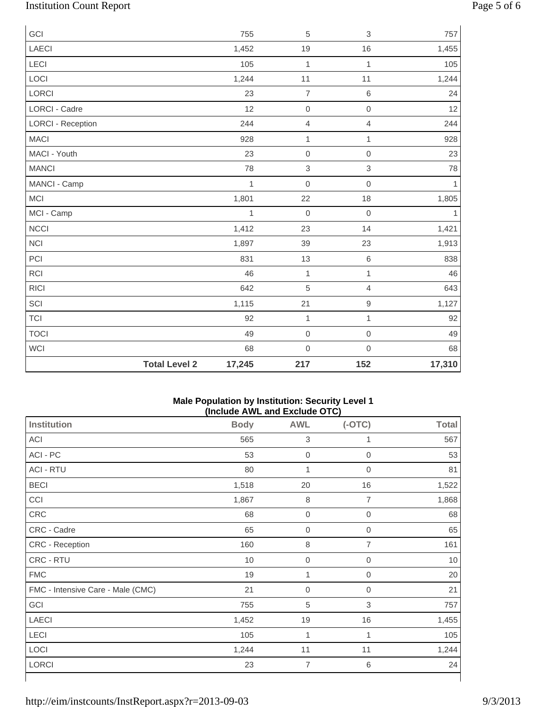# Institution Count Report Page 5 of 6

| GCI                      |                      | 755          | 5                | $\sqrt{3}$     | 757          |
|--------------------------|----------------------|--------------|------------------|----------------|--------------|
| LAECI                    |                      | 1,452        | 19               | 16             | 1,455        |
| <b>LECI</b>              |                      | 105          | $\mathbf{1}$     | 1              | 105          |
| LOCI                     |                      | 1,244        | 11               | 11             | 1,244        |
| LORCI                    |                      | 23           | $\overline{7}$   | $6\,$          | 24           |
| <b>LORCI - Cadre</b>     |                      | 12           | $\mbox{O}$       | $\mathbf 0$    | 12           |
| <b>LORCI - Reception</b> |                      | 244          | 4                | $\overline{4}$ | 244          |
| <b>MACI</b>              |                      | 928          | $\mathbf{1}$     | 1              | 928          |
| MACI - Youth             |                      | 23           | $\mathbf 0$      | $\mathbf 0$    | 23           |
| <b>MANCI</b>             |                      | 78           | 3                | $\sqrt{3}$     | 78           |
| MANCI - Camp             |                      | $\mathbf{1}$ | $\boldsymbol{0}$ | $\mathbf 0$    | $\mathbf{1}$ |
| <b>MCI</b>               |                      | 1,801        | 22               | 18             | 1,805        |
| MCI - Camp               |                      | $\mathbf{1}$ | $\mathbf 0$      | $\mathbf 0$    | 1            |
| <b>NCCI</b>              |                      | 1,412        | 23               | 14             | 1,421        |
| <b>NCI</b>               |                      | 1,897        | 39               | 23             | 1,913        |
| PCI                      |                      | 831          | 13               | $\,6\,$        | 838          |
| <b>RCI</b>               |                      | 46           | $\mathbf{1}$     | $\mathbf{1}$   | 46           |
| <b>RICI</b>              |                      | 642          | 5                | $\overline{4}$ | 643          |
| SCI                      |                      | 1,115        | 21               | $\hbox{9}$     | 1,127        |
| <b>TCI</b>               |                      | 92           | $\mathbf{1}$     | $\mathbf{1}$   | 92           |
| <b>TOCI</b>              |                      | 49           | $\mathbf 0$      | $\mathbf 0$    | 49           |
| WCI                      |                      | 68           | $\mathbf 0$      | $\mathbf 0$    | 68           |
|                          | <b>Total Level 2</b> | 17,245       | 217              | 152            | 17,310       |

#### **Male Population by Institution: Security Level 1 (Include AWL and Exclude OTC)**

| <b>Institution</b>                | <b>Body</b> | <b>AWL</b>       | $(-OTC)$            | <b>Total</b> |
|-----------------------------------|-------------|------------------|---------------------|--------------|
| ACI                               | 565         | $\sqrt{3}$       | 1                   | 567          |
| ACI - PC                          | 53          | $\boldsymbol{0}$ | $\mathsf{O}\xspace$ | 53           |
| <b>ACI - RTU</b>                  | 80          | 1                | 0                   | 81           |
| <b>BECI</b>                       | 1,518       | 20               | 16                  | 1,522        |
| CCI                               | 1,867       | $\,8\,$          | 7                   | 1,868        |
| CRC                               | 68          | $\boldsymbol{0}$ | $\mathbf 0$         | 68           |
| CRC - Cadre                       | 65          | $\boldsymbol{0}$ | $\boldsymbol{0}$    | 65           |
| CRC - Reception                   | 160         | $\,8\,$          | 7                   | 161          |
| CRC - RTU                         | 10          | $\boldsymbol{0}$ | 0                   | 10           |
| <b>FMC</b>                        | 19          | 1                | 0                   | 20           |
| FMC - Intensive Care - Male (CMC) | 21          | $\boldsymbol{0}$ | 0                   | 21           |
| GCI                               | 755         | 5                | 3                   | 757          |
| <b>LAECI</b>                      | 1,452       | 19               | 16                  | 1,455        |
| LECI                              | 105         | 1                | 1                   | 105          |
| LOCI                              | 1,244       | 11               | 11                  | 1,244        |
| LORCI                             | 23          | $\overline{7}$   | 6                   | 24           |
|                                   |             |                  |                     |              |